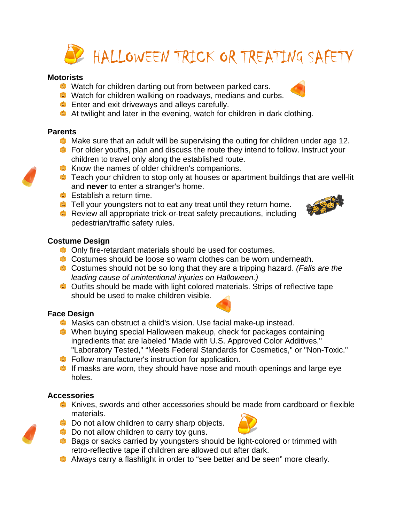

### **Motorists**

- Watch for children darting out from between parked cars.
- Watch for children walking on roadways, medians and curbs.
- **Enter and exit driveways and alleys carefully.**
- At twilight and later in the evening, watch for children in dark clothing.

#### **Parents**

- **C** Make sure that an adult will be supervising the outing for children under age 12.
- **C** For older youths, plan and discuss the route they intend to follow. Instruct your children to travel only along the established route.
- **C** Know the names of older children's companions.
- **C** Teach your children to stop only at houses or apartment buildings that are well-lit and **never** to enter a stranger's home.
- **Establish a return time.**
- **C** Tell your youngsters not to eat any treat until they return home.
- **C** Review all appropriate trick-or-treat safety precautions, including pedestrian/traffic safety rules.

### **Costume Design**

- **C** Only fire-retardant materials should be used for costumes.
- Costumes should be loose so warm clothes can be worn underneath.
- Costumes should not be so long that they are a tripping hazard. *(Falls are the leading cause of unintentional injuries on Halloween.)*
- Outfits should be made with light colored materials. Strips of reflective tape should be used to make children visible.

## **Face Design**

- **C** Masks can obstruct a child's vision. Use facial make-up instead.
- When buying special Halloween makeup, check for packages containing ingredients that are labeled "Made with U.S. Approved Color Additives," "Laboratory Tested," "Meets Federal Standards for Cosmetics," or "Non-Toxic."
- **C** Follow manufacturer's instruction for application.
- $\bullet$  If masks are worn, they should have nose and mouth openings and large eye holes.

## **Accessories**

- Knives, swords and other accessories should be made from cardboard or flexible materials.
- **C** Do not allow children to carry sharp objects.
- **C** Do not allow children to carry toy guns.
- **Bags or sacks carried by youngsters should be light-colored or trimmed with** retro-reflective tape if children are allowed out after dark.
- Always carry a flashlight in order to "see better and be seen" more clearly.